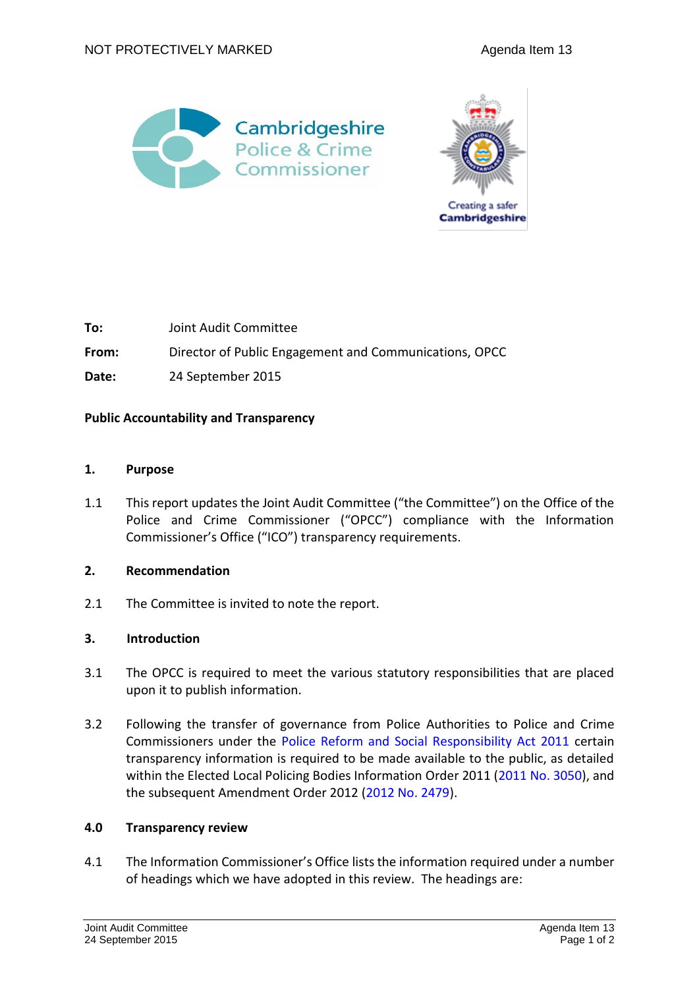



| To:   | Joint Audit Committee                                  |
|-------|--------------------------------------------------------|
| From: | Director of Public Engagement and Communications, OPCC |
| Date: | 24 September 2015                                      |

# **Public Accountability and Transparency**

# **1. Purpose**

1.1 This report updates the Joint Audit Committee ("the Committee") on the Office of the Police and Crime Commissioner ("OPCC") compliance with the Information Commissioner's Office ("ICO") transparency requirements.

### **2. Recommendation**

2.1 The Committee is invited to note the report.

# **3. Introduction**

- 3.1 The OPCC is required to meet the various statutory responsibilities that are placed upon it to publish information.
- 3.2 Following the transfer of governance from Police Authorities to Police and Crime Commissioners under the [Police Reform and Social Responsibility Act 2011](http://www.legislation.gov.uk/ukpga/2011/13/contents/enacted) certain transparency information is required to be made available to the public, as detailed within the Elected Local Policing Bodies Information Order 2011 [\(2011 No. 3050\)](http://www.legislation.gov.uk/uksi/2011/3050/made), and the subsequent Amendment Order 2012 [\(2012 No. 2479\)](http://www.legislation.gov.uk/uksi/2012/2479/made).

# **4.0 Transparency review**

4.1 The Information Commissioner's Office lists the information required under a number of headings which we have adopted in this review. The headings are: